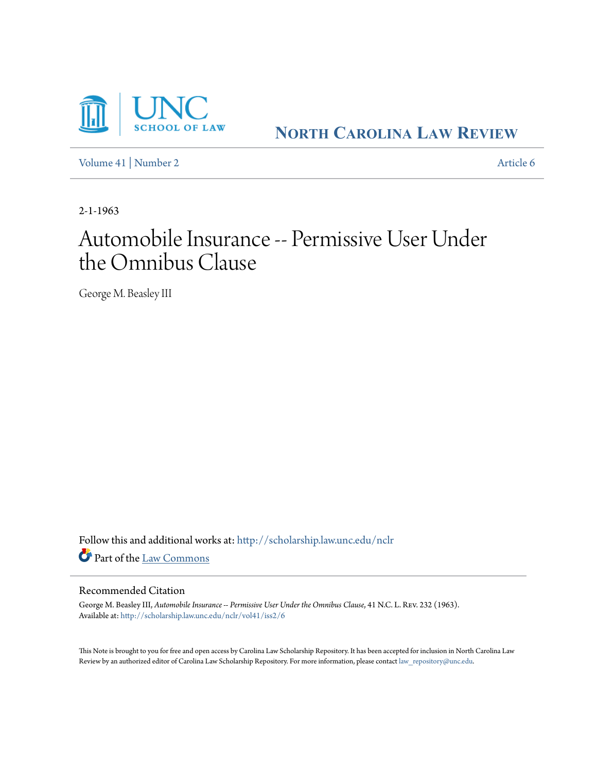

**NORTH C[AROLINA](http://scholarship.law.unc.edu/nclr?utm_source=scholarship.law.unc.edu%2Fnclr%2Fvol41%2Fiss2%2F6&utm_medium=PDF&utm_campaign=PDFCoverPages) LAW REVIEW**

[Volume 41](http://scholarship.law.unc.edu/nclr/vol41?utm_source=scholarship.law.unc.edu%2Fnclr%2Fvol41%2Fiss2%2F6&utm_medium=PDF&utm_campaign=PDFCoverPages) | [Number 2](http://scholarship.law.unc.edu/nclr/vol41/iss2?utm_source=scholarship.law.unc.edu%2Fnclr%2Fvol41%2Fiss2%2F6&utm_medium=PDF&utm_campaign=PDFCoverPages) [Article 6](http://scholarship.law.unc.edu/nclr/vol41/iss2/6?utm_source=scholarship.law.unc.edu%2Fnclr%2Fvol41%2Fiss2%2F6&utm_medium=PDF&utm_campaign=PDFCoverPages)

2-1-1963

## Automobile Insurance -- Permissive User Under the Omnibus Clause

George M. Beasley III

Follow this and additional works at: [http://scholarship.law.unc.edu/nclr](http://scholarship.law.unc.edu/nclr?utm_source=scholarship.law.unc.edu%2Fnclr%2Fvol41%2Fiss2%2F6&utm_medium=PDF&utm_campaign=PDFCoverPages) Part of the [Law Commons](http://network.bepress.com/hgg/discipline/578?utm_source=scholarship.law.unc.edu%2Fnclr%2Fvol41%2Fiss2%2F6&utm_medium=PDF&utm_campaign=PDFCoverPages)

## Recommended Citation

George M. Beasley III, *Automobile Insurance -- Permissive User Under the Omnibus Clause*, 41 N.C. L. Rev. 232 (1963). Available at: [http://scholarship.law.unc.edu/nclr/vol41/iss2/6](http://scholarship.law.unc.edu/nclr/vol41/iss2/6?utm_source=scholarship.law.unc.edu%2Fnclr%2Fvol41%2Fiss2%2F6&utm_medium=PDF&utm_campaign=PDFCoverPages)

This Note is brought to you for free and open access by Carolina Law Scholarship Repository. It has been accepted for inclusion in North Carolina Law Review by an authorized editor of Carolina Law Scholarship Repository. For more information, please contact [law\\_repository@unc.edu.](mailto:law_repository@unc.edu)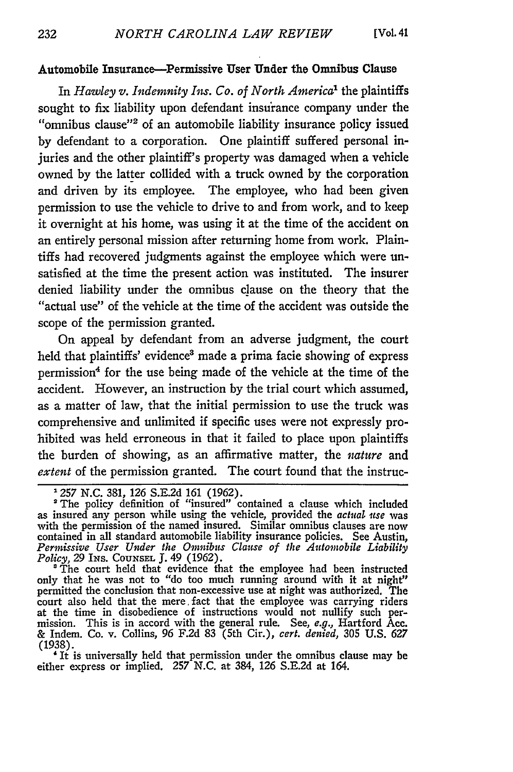## Automobile Insurance-Permissive User Under the Omnibus Clause

In *Hawley v. Indemnity Ins. Co. of North America'* the plaintiffs sought to fix liability upon defendant insurance company under the "omnibus clause"<sup>2</sup> of an automobile liability insurance policy issued **by** defendant to a corporation. One plaintiff suffered personal injuries and the other plaintiff's property was damaged when a vehicle owned **by** the latter collided with a truck owned **by** the corporation and driven **by** its employee. The employee, who had been given permission to use the vehicle to drive to and from work, and to keep it overnight at his home, was using it at the time of the accident on an entirely personal mission after returning home from work. Plaintiffs had recovered judgments against the employee which were unsatisfied at the time the present action was instituted. The insurer denied liability under the omnibus clause on the theory that the "actual use" of the vehicle at the time of the accident was outside the scope of the permission granted.

On appeal by defendant from an adverse judgment, the court held that plaintiffs' evidence<sup>3</sup> made a prima facie showing of express permission<sup>4</sup> for the use being made of the vehicle at the time of the accident. However, an instruction **by** the trial court which assumed, as a matter of law, that the initial permission to use the truck was comprehensive and unlimited if specific uses were not expressly prohibited was held erroneous in that it failed to place upon plaintiffs the burden of showing, as an affirmative matter, the *nature* and extent of the permission granted. The court found that the instruc-

either express or implied. **257** N.C. at 384, 126 S.E.2d at 164.

**<sup>1257</sup> N.C.** 381, *126* S.E.2d **161** (1962).

<sup>&</sup>lt;sup>2</sup>The policy definition of "insured" contained a clause which included as insured any person while using the vehicle, provided the *actual iuse* was with the permission of the named insured. Similar omnibus clauses are now contained in all standard automobile liability insurance policies. See Austin, *Permissive User Under the Omnibus Clause of* the *Automobile Liability Policy, 29* INs. **COUNSEL J.** 49 (1962).

<sup>&#</sup>x27;The court held that evidence that the employee had been instructed only that he was not to "do too much running around with it at night" permitted the conclusion that non-excessive use at night was authorized. The court also held that the mere, fact that the employee was carrying riders at the time in disobedience of instructions would not nullify such permission. This is in accord with the general rule. See, *e.g.,* Hartford Acc. & Indem. Co. v. Collins, 96 **F.2d** 83 (5th Cir.), *cert. denied,* 305 **U.S.** 627 (1938). ' It is universally held that permission under the omnibus clause may be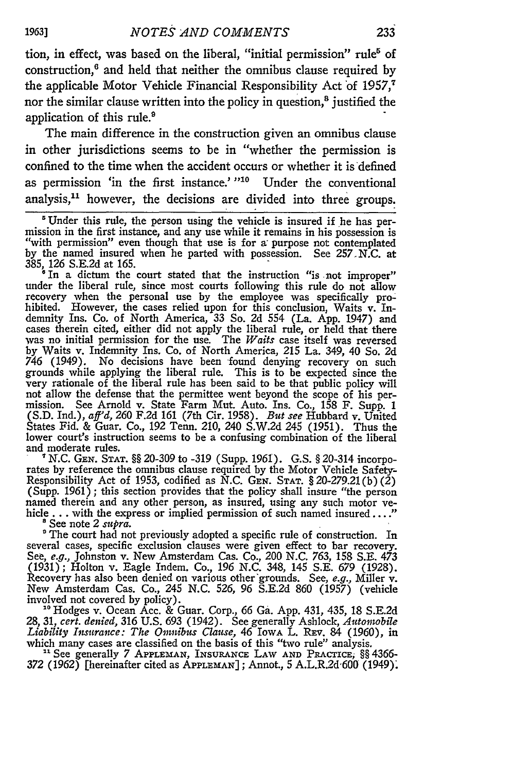tion, in effect, was based on the liberal, "initial permission" rule<sup>5</sup> of construction,6 and held that neither the omnibus clause required **by** the applicable Motor Vehicle Financial Responsibility Act of 1957,<sup>7</sup> nor the similar clause written into the policy in question, $<sup>8</sup>$  justified the</sup> application of this rule.'

The main difference in the construction given an omnibus clause in other jurisdictions seems to be in "whether the permission is confined to the time when the accident occurs or whether it is defined as permission 'in the first instance.' "<sup>10</sup> Under the conventional analysis,<sup>11</sup> however, the decisions are divided into three groups.

under the liberal rule, since most courts following this rule do not allow recovery when the personal use **by** the employee was specifically prohibited. However, the cases relied upon for this conclusion, Waits v. Indemnity Ins. Co. of North America, 33 So. 2d 554 (La. **App.** 1947) and cases therein cited, either did not apply the liberal rule, or held that there was no initial permission for the use. The *Waits* case itself was reversed **by** Waits **v.** Indemnity Ins. Co. of North America, 215 La. 349, 40 So. 2d *746* (1949). No decisions have been found denying recovery on such grounds while applying the liberal rule. This is to be expected since the very rationale of the liberal rule has been said to be that public policy will not allow the defense that the permittee went beyond the scope of his per- mission. See Arnold v. State Farm Mut. Auto. Ins. Co., **158** F. Supp. 1 **(S.D.** Ind.), *aff'd, 260* F.2d 161 (7th Cir. 1958). *But see* Hubbard v. United States Fid. & Guar. Co., 192 Tenn. 210, 240 S.W.2d 245 (1951). Thus the lower court's instruction seems to be a confusing combination of the liberal and moderate rules.

**"N.C. GEN. STAT.** §§ 20-309 to -319 (Supp. 1961). **G.S.** § 20-314 incorporates by reference the omnibus clause required by the Motor Vehicle Safety-Responsibility Act of 1953, codified as N.C. GEN. **STAT.** § 20-279.21(b) *(2)* named therein and any other person, as insured, using any such motor vehicle **...** with the express or implied permission of such named insured...." 8 See note 2 *supra.*

<sup>o</sup> The court had not previously adopted a specific rule of construction. In several cases, specific exclusion clauses were given effect to bar recovery. See, *e.g.,* Johnston v. New Amsterdam Cas. Co., 200 N.C. *763,* 158 S.E. 473 (1931); Holton v. Eagle Indem. Co., 196 N.C. 348, 145 S.E. 679 (1928). Recovery has also been denied on various other'grounds. See, *e.g.,* Miller v. New Amsterdam Cas. Co., 245 N.C. 526, 96 S.E.2d 860 (1957) (vehicle involved not covered by policy). **'0** Hodges v. Ocean Acc. & Guar. Corp., 66 Ga. App. 431, 435, 18 S.E.2d

28, 31, *cert. denied,* 316 U.S. 693 (1942). See generally Ashlock, *Automobile Liability Insurance: The Omnibus Clause,* 46 IowA L. REv. 84 (1960), in which many cases are classified on the basis of this "two rule" analysis. **<sup>11</sup>**See generally 7 **APPLEMAN, INSURANCE** LAW **AND** PRACTIcE, §§ 4366-

<sup>31</sup> See generally 7 APPLEMAN, INSURANCE LAW AND PRACTICE, §§ 4366-<br>372 (1962) [hereinafter cited as APPLEMAN]; Annot., 5 A.L.R.2d<sup>-600</sup> (1949).

1963]

<sup>&#</sup>x27;Under this rule, the person using the vehicle is insured if he has per- mission in the first instance, and any use while it remains in his possession is "with permission" even though that use is for a: purpose not contemplated **by** the named insured when he parted with possession. See 257.N.C. at 385, 126 S.E.2d at 165.<br><sup>8</sup> In a dictum the court stated that the instruction "is not improper"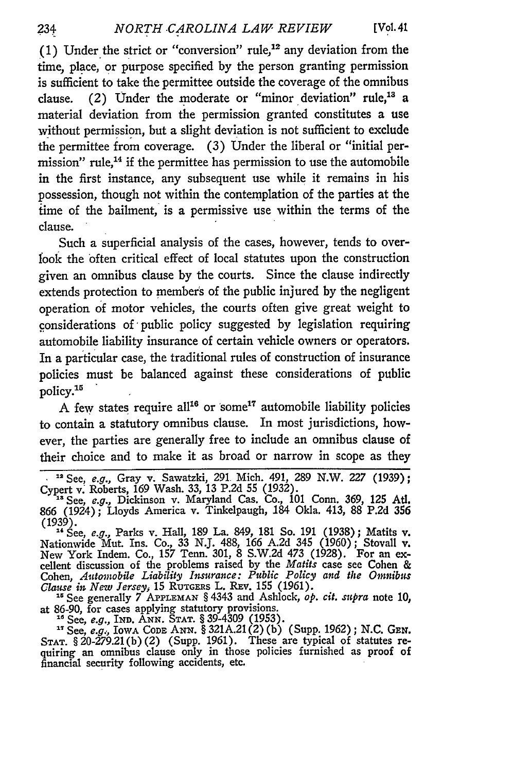(1) Under the strict or "conversion" rule,<sup>12</sup> any deviation from the time, place, or purpose specified **by** the person granting permission is sufficient to take the permittee outside the coverage of the omnibus clause. (2) Under the moderate or "minor deviation" rule,<sup>13</sup> a material deviation from the permission granted constitutes a use without permission, but a slight deviation is not sufficient to exclude the permittee from coverage. **(3)** Under the liberal or "initial permission" rule, $<sup>14</sup>$  if the permittee has permission to use the automobile</sup> in the first instance, any subsequent use while it remains in his possession, though not within the contemplation of the parties at the time of the bailment, is a permissive use within the terms of the clause.

Such a superficial analysis of the cases, however, tends to overlook the often critical effect of local statutes upon the construction given an omnibus clause **by** the courts. Since the clause indirectly extends protection to members of the public injured **by** the negligent operation **of** motor vehicles, the courts often give great weight to considerations of public policy suggested **by** legislation requiring automobile liability insurance of certain vehicle owners or operators. In a particular case, the traditional rules of construction of insurance policies must be balanced against these considerations of public policy.<sup>15</sup>

**A** few states require **all <sup>6</sup>**or **some' <sup>7</sup>**automobile liability policies to contain a statutory omnibus clause. In most jurisdictions, however, the parties are generally free to include an omnibus clause of their choice and to make it as broad or narrow in scope as they

**1'** See, *e.g.,* Parks v. **Hall, 189** La. 849, **181** So. **191 (1938);** Matits v. Nationwide Mut. Ins. Co., **33 NJ. 488, 166 A.2d** 345 **(1960);** Stovall v. New York Indem. Co., **157** Tenn. **301, 8 S.W.2d** 473 **(1928).** For an excellent discussion of the problems raised **by** the *Matits* case see Cohen **&** Cohen, *Automobile Liability Insurance: Public Policy and the Oimnibus Clause in New Jersey.* **15** RUTGERs L. REv. **155 (1961).**

*<sup>15</sup>*See generally *7* **AP.PLEMAN §** 4343 and Ashlock, *op. cit. supra* note **10,** at **86-90,** for cases applying statutory provisions. **"** See, *e.g.,* IND. **ANN. STAT. §** 39-4309 **(1953).**

**"** See, *e.g,,* IowA **CODE ANN. § 321A.21 (2) (b)** (Supp. **1962); N.C.** *GEN.* **STAT. § 20-279.21(b)** (2) (Supp. **1961).** These are typical of statutes requiring an omnibus clause only in those policies furnished as proof of financial security following accidents, etc.

**<sup>12</sup>**See, e.g., Gray v. Sawatzki, **291.** Mich. 491, **289** N.W. *227* **(1939);** Cypert v. Roberts, **169** Wash. **33, 13 P.2d 55 (1932). <sup>a</sup>**See, *e.g.,* Dickinson v. Maryland Cas. Co., **101** Conn. **369, 125** Ad.

**<sup>866</sup>** (1924); Lloyds America v. Tinkelpaugh, 184 Okla. 413, **88 P.2d 356 (1939).**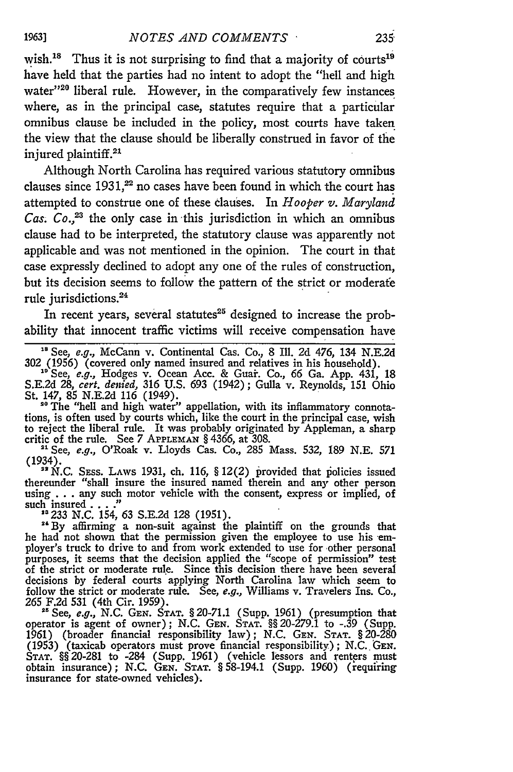wish.<sup>18</sup> Thus it is not surprising to find that a majority of courts<sup>19</sup> have held that the parties had no intent to adopt the "hell and high water"<sup>20</sup> liberal rule. However, in the comparatively few instances where, as in the principal case, statutes require that a particular omnibus clause be included in the policy, most courts have taken the view that the clause should be liberally construed in favor of the injured plaintiff.<sup>21</sup>

Although North Carolina has required various statutory omnibus clauses since  $1931$ ,<sup>22</sup> no cases have been found in which the court has attempted to construe one of these clauses. In *Hooper v. Maryland Cas. Co.,23* the only case in -this jurisdiction in which an omnibus clause had to be interpreted, the statutory clause was apparently not applicable and was not mentioned in the opinion. The court in that case expressly declined to adopt any one of the rules of construction, but its decision seems to follow the pattern of the strict or moderate rule jurisdictions.<sup>24</sup>

In recent years, several statutes<sup>25</sup> designed to increase the probability that innocent traffic victims will receive compensation have

**<sup>18</sup>**See, e.g., McCann v. Continental Cas. Co., 8 Ill. 2d 476, 134 N.E.2d 302 (1956) (covered only named insured and relatives in his household).

**"s** See, e.g., Hodges v. Ocean Acc. & Guai. Co., **66** Ga. App. 431, 18 S.E.2d 28, *cert. denied,* 316 U.S. 693 (1942); Gulla v. Reynolds, 151 Ohio St. 147, 85 N.E.2d 116 (1949).

**"0** The "hell and high water" appellation, with its inflammatory connotations, is often used by courts which, like the court in the principal case, wish to reject the liberal rule. It was probably originated by Appleman, a sharp critic of the rule. See 7 **APPLEMAN** § 4366, at 308.

<sup>21</sup> See, *e.g.*, O'Roak v. Lloyds Cas. Co., 285 Mass. 532, 189 N.E. 571 (1934). *" N.C.* SEss. LAWS 1931, ch. 116, § 12(2) provided that piolicies issued

thereunder "shall insure the insured named therein and any other person thereunder "shall insure the insured named therein and any other person using . . . any such motor vehicle with the consent, express or implied, of such insured . . . ."<br>
<sup>23</sup> 233 N.C. 154, 63 S.E.2d 128 (1951).

<sup>33</sup> 233 N.C. 154, 63 S.E.2d 128 (1951).<br><sup>24</sup> By affirming a non-suit against the plaintiff on the grounds that

he had not shown that the permission given the employee to use his employer's truck to drive to and from work extended to use for other personal purposes, it seems that the decision applied the "scope of permission" test of the strict or moderate rule. Since this decision there have been several decisions by federal courts applying North Carolina law which seem to follow the strict or moderate rule. See, *e.g.,* Williams v. Travelers Ins. Co., 265 F.2d 531 (4th Cir. 1959).

25See, *e.g.,* N.C. **GEN. STAT.** § 20-71.1 (Supp. 1961) (presumption that operator is agent of owner); N.C. **GEN. STAT.** §§ 20-279.1 to -.39 (Supp. 1961) (broader financial responsibility law); N.C. **GEN. STAT.** § 20-280 (1953) (taxicab operators must prove financial responsibility); N.C. **GEN. STAT.** §§ 20-281 to -284 (Supp. 1961) (vehicle lessors and renters must obtain insurance); N.C. **GEN. STAT.** § 58-194.1 (Supp. 1960) (requiring insurance for state-owned vehicles)-.

**1963]**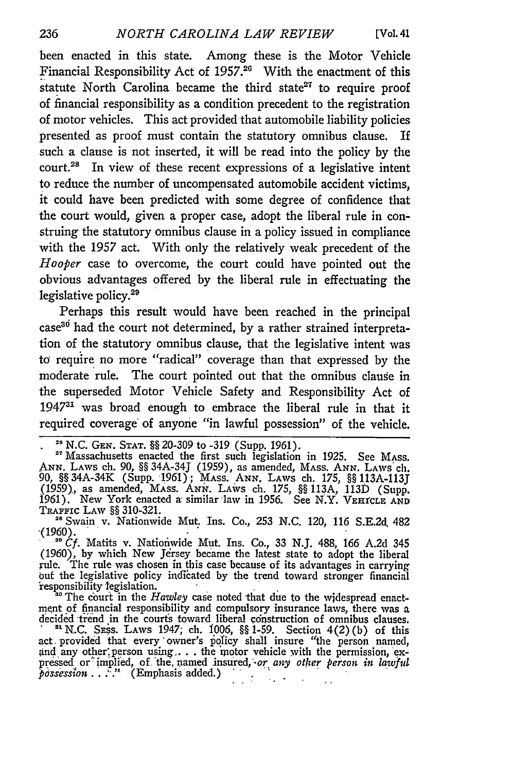been enacted in this state. Among these is the Motor Vehicle Financial Responsibility Act of **1957.26** With the enactment of this statute North Carolina became the third state $27$  to require proof of financial responsibility as a condition precedent to the registration of motor vehicles. This act provided that automobile liability policies presented as proof must contain the statutory omnibus clause. If such a clause is not inserted, it will be read into the policy **by** the court.<sup>28</sup> In view of these recent expressions of a legislative intent to reduce the number of uncompensated automobile accident victims, it could have been predicted with some degree of confidence that the court would, given a proper case, adopt the liberal rule in construing the statutory omnibus clause in a policy issued in compliance with the 1957 act. With only the relatively weak precedent of the *Hooper* case to overcome, the court could have pointed out the obvious advantages offered **by** the liberal rule in effectuating the legislative policy.<sup>29</sup>

Perhaps this result would have been reached in the principal case30 had the court not determined, **by** a rather strained interpretation of the statutory omnibus clause, that the legislative intent was to require no more "radical" coverage than that expressed **by** the moderate rule. The court pointed out that the omnibus clause in the superseded Motor Vehicle Safety and Responsibility Act of 1947<sup>31</sup> was broad enough to embrace the liberal rule in that it required coverage' of anyone "in lawful possession" of the vehicle.

**='** N.C. **GEN. STAT.** §§ 20-309 to -319 (Supp. 1961). **<sup>27</sup>**Massachusetts enacted the first such legislation in 1925. See MAss. **ANN. LAWS** ch. **90,** §§ 34A-34J (1959), as amended, MAss. **ANN.** LAWS **ch. 90,** §§ 34A-34K (Supp. 1961); MASS. **ANN. LAWS** ch. **175,** §§ **113A-113J** (1959), as amended, **MAss. ANN. LAWS** ch. **175,** §§ **113A, 113D** (Supp. **1961).** New York enacted a similar law in **1956.** See N.Y. **VEI rCLE AND** TRAFFIc **LAW** §§ **310-321.**

<sup>28</sup> <sup>Swain</sup> v. Nationwide Mut. Ins. Co., 253 N.C. 120, 116 S.E.2d 482 *(1960)*.

 $(1960)$ , by which New Jersey became the latest state to adopt the liberal rule. The rule was chosen in this case because of its advantages in carrying *out* the legislative policy incfkated by the trend toward stronger financial 'responsibility legislation.

<sup>30</sup> The court in the *Hawley* case noted that due to the widespread enactmenit of financial responsibility and compulsory insurance laws, there was a decided trend in the courts toward liberal construction of omnibus clauses.<br><sup>81</sup> N.C. Sess. LAws 1947; ch. 1006, §§ 1-59. Section 4(2) (b) of this

act provided that every owner's policy shall insure "the person named and any other person using . . . the motor vehicle with the permission, ex-<br>pressed or implied, of the named insured, or *any other person in lawful* piessed of imphed, of the iddned that  $\sigma_{\rm eff} = 0.1$  $\sim$  .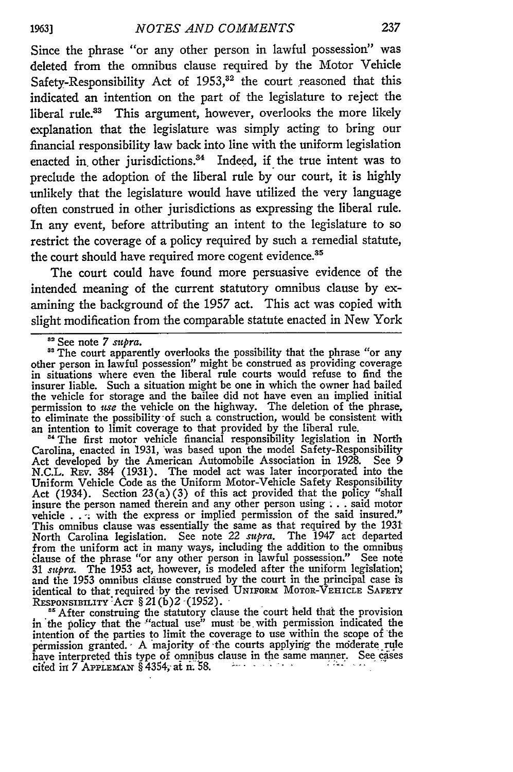Since the phrase "or any other person in lawful possession" was deleted from the omnibus clause required by the Motor Vehicle Safety-Responsibility Act of  $1953$ ,<sup>32</sup> the court reasoned that this indicated an intention on the part of the legislature to reject the liberal rule.<sup>33</sup> This argument, however, overlooks the more likely explanation that the legislature was simply acting to bring our financial responsibility law back into line with the uniform legislation enacted in other jurisdictions.<sup>34</sup> Indeed, if the true intent was to preclude the adoption of the liberal rule by our court, it is highly unlikely that the legislature would have utilized the very language often construed in other jurisdictions as expressing the liberal rule. In any event, before attributing an intent to the legislature to so restrict the coverage of a policy required by such a remedial statute, the court should have required more cogent evidence.<sup>35</sup>

The court could have found more persuasive evidence of the intended meaning of the current statutory omnibus clause by examining the background of the 1957 act. This act was copied with slight modification from the comparable statute enacted in New York

<sup>34</sup> The first motor vehicle financial responsibility legislation in North Carolina, enacted in 1931, was based upon the model Safety-Responsibility Act developed by the American Automobile Association in 1928. See 9 N.C.L. REv. 384 (1931). The model act was later incorporated into the Uniform Vehicle Code as the Uniform Motor-Vehicle Safety Responsibility Act (1934). Section 23(a)(3) of this act provided that the policy "shall insure the person named therein and any other person using **. . .** said motor vehicle . . . with the express or implied permission of the said insured.' This omnibus clause was essentially the same as that required by the 1931 North Carolina legislation. See note 22 *supra.* The 1947 act departed from the uniform act in many ways, including the addition to the omnibus lause of the phrase "or any other person in lawful possession." See note *31 supra.* The **1953** act, however, is modeled after the uniform legislation, and the 1953 omnibus clause construed by the court in the principal case **is** identical to that required-by the revised UNIFORM MOTOR-VEHICLE SAFETY RESPONSIBILITY Act § 21(b)2 (1952)

<sup>85</sup> After construing the statutory clause the court held that the provision in 'the policy that the "actual use" must be. with permission indicated the intention of the parties to limit the coverage to use within the scope of 'the permission granted. A majority of the courts applying the moderate rule have interpreted this type of omnibus clause in the same manner. See cases **cited in 7 APPLEMAN § 4354; at n. 58.** *Property of the set of the set* **of**  $\mathbb{R}^2$ 

**1963]**

<sup>&</sup>lt;sup>82</sup> See note 7 *supra*.

<sup>&</sup>lt;sup>33</sup> The court apparently overlooks the possibility that the phrase "or any other person in lawful possession" might be construed as providing coverage in situations where even the liberal rule courts would refuse to find the insurer liable. Such a situation might be one in which the owner had bailed the vehicle for storage and the bailee did not have even an implied initial permission to *use* the vehicle on the highway. The deletion of the phrase, to eliminate the possibility'of such a construction, would be consistent with an intention to limit coverage to that provided by the liberal rule.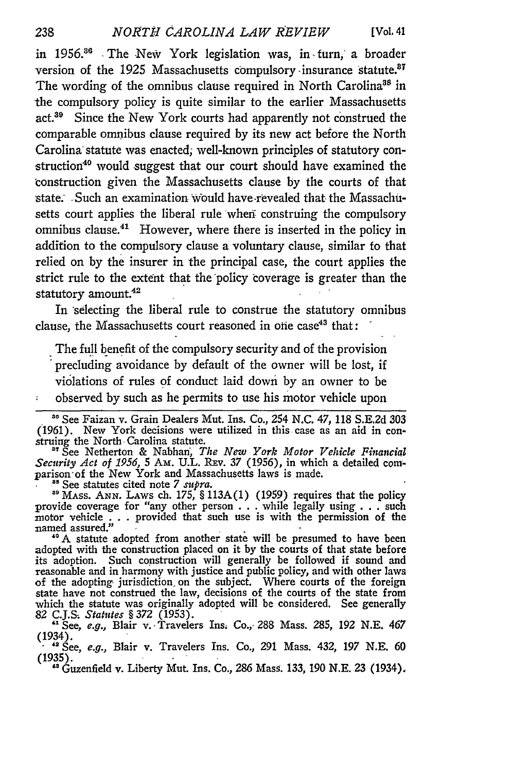in 1956.8" The New York legislation was, in -turn, a broader version of the 1925 Massachusetts compulsory insurance statute.<sup>87</sup> The wording of the omnibus clause required in North Carolina<sup>38</sup> in the compulsory policy is quite similar to the earlier Massachusetts act.<sup>39</sup> Since the New York courts had apparently not construed the comparable omnibus clause required **by** its new act before the North Carolina statute was enacted; well-known principles of statutory construction<sup>40</sup> would suggest that our court should have examined the construction given the Massachusetts clause **by** the courts of that state. Such an examination would have -revealed that the Massachusetts court applies the liberal rule wheni construing the compulsory omnibus clause.<sup>41</sup> However, where there is inserted in the policy in addition to the compulsory clause a voluntary clause, similar to that relied on **by** the insurer in the principal case, the court applies the strict rule to the extent that the policy coverage is greater than the statutory amount.<sup>42</sup>

In selecting the liberal rule to construe the statutory omnibus clause, the Massachusetts court reasoned in one case<sup>43</sup> that:

The **full** benefit of the compulsory security and of the provision precluding avoidance **by** default of the owner will be lost, if violations of rules **of** conduct laid down **by** an owner to be observed **by** such as he permits to use his motor vehicle upon

<sup>27</sup> See Netherton & Nabhan, *The New York Motor Vehicle Financial Security Act of 1956,* **5** Am. U.L. **REv.** 37 (1956), in which a detailed comparison of the New York and Massachusetts laws is made. **<sup>8</sup>**See statutes cited note *7 supra.*

<sup>89</sup> See statutes cited note 7 *supra*.<br><sup>89</sup> MAss. ANN. Laws ch. 175, § 113A(1) (1959) requires that the policy provide coverage for "any other person **. . .** while legally using **. . .** such motor vehicle **. . .** provided that such use is with the permission of the named assured."

**"°A** statute adopted from another state will be presumed to have been adopted with the construction placed on it **by** the courts of that state before its adoption. Such construction will generally be followed if sound and reasonable and in harmony with justice and public policy, and with other laws of the adopting- jurisdiction, on the subject. Where courts of the foreign state have not construed the law, decisions of the courts of the state from which the statute was originally adopted will **be** considered. See generally **82 C.J.S** *Statutes §* **372** (1953).

**"** See, *e.g.,* Blair **v..** Travelers Ins. Co., **288** Mass. 285, 192 **N.E.** 467 (1934). **<sup>1</sup>**'See, *e.g.,* Blair v. Travelers Ins. Co., **291** Mass. 432, **197 N.E. 60**

**(1935).** "Guzenfield v. Liberty Mut. Ins. Co., *286* Mass. **133,** *190* **N.E. 23** (1934),

238

 $\widetilde{\mathfrak{s}}$ 

**<sup>86</sup>**See Faizan v. Grain Dealers Mut. Ins. Co., 254 **N.C.** 47, **118 S.E.2d** 303 (1961). New York decisions were utilized in this case as an aid in con**struing** the North Carolina statute.